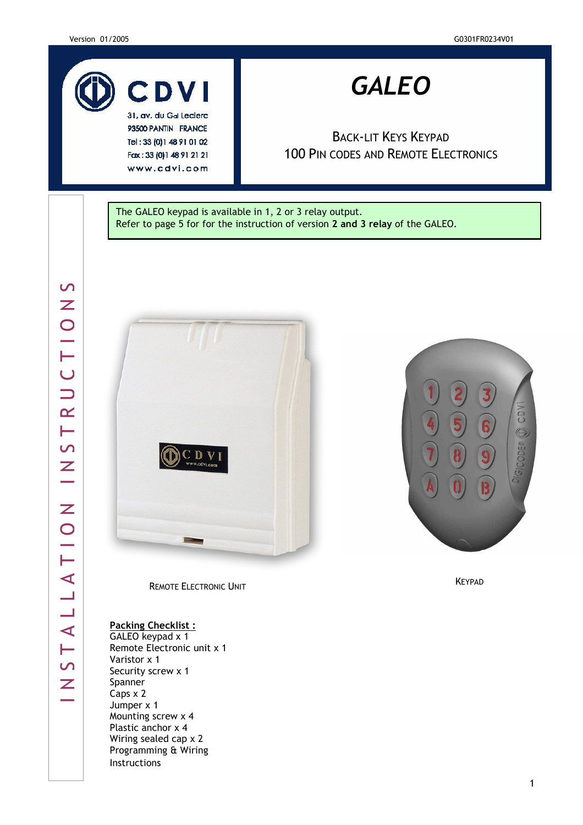

93500 PANTIN FRANCE Tel: 33 (0) 1 48 91 01 02 Fax: 33 (0) 1 48 91 21 21 www.cdvi.com

# GALEO

BACK-LIT KEYS KEYPAD 100 PIN CODES AND REMOTE ELECTRONICS

The GALEO keypad is available in 1, 2 or 3 relay output. Refer to page 5 for for the instruction of version 2 and 3 relay of the GALEO.



REMOTE ELECTRONIC UNIT

#### Packing Checklist:

GALEO keypad x 1 Remote Electronic unit x 1 Varistor x 1 Security screw x 1 Spanner Caps x 2 Jumper x 1 Mounting screw x 4 Plastic anchor x 4 Wiring sealed cap x 2 Programming & Wiring Instructions

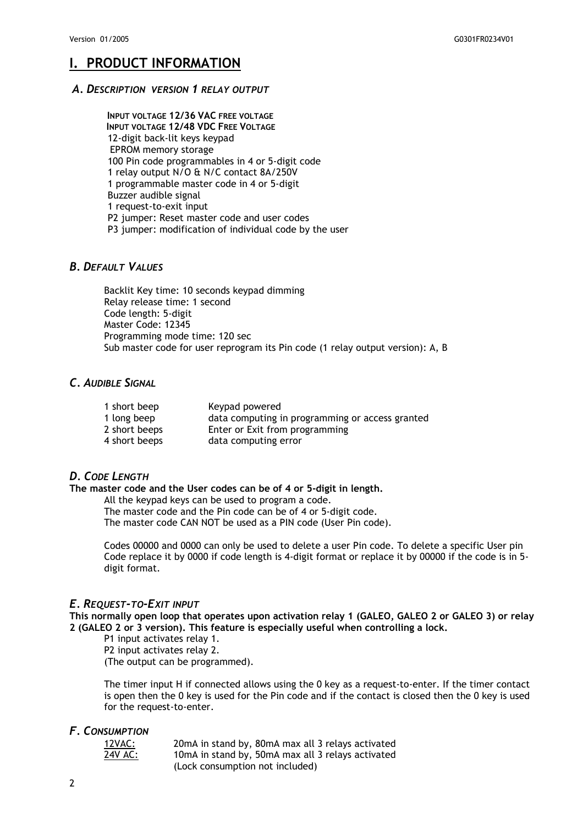## PRODUCT INFORMATION

#### A. DESCRIPTION VERSION 1 RELAY OUTPUT

INPUT VOLTAGE 12/36 VAC FREE VOLTAGE INPUT VOLTAGE 12/48 VDC FREE VOLTAGE 12-digit back-lit keys keypad EPROM memory storage 100 Pin code programmables in 4 or 5-digit code 1 relay output N/O & N/C contact 8A/250V 1 programmable master code in 4 or 5-digit Buzzer audible signal 1 request-to-exit input P2 jumper: Reset master code and user codes P3 jumper: modification of individual code by the user

#### **B.** DEFAULT VALUES

Backlit Key time: 10 seconds keypad dimming Relay release time: 1 second Code length: 5-digit Master Code: 12345 Programming mode time: 120 sec Sub master code for user reprogram its Pin code (1 relay output version): A, B

#### C. AUDIBLE SIGNAL

| 1 short beep  | Keypad powered                                  |
|---------------|-------------------------------------------------|
| 1 long beep   | data computing in programming or access granted |
| 2 short beeps | Enter or Exit from programming                  |
| 4 short beeps | data computing error                            |

#### D. CODE LENGTH

#### The master code and the User codes can be of 4 or 5-digit in length.

All the keypad keys can be used to program a code.

The master code and the Pin code can be of 4 or 5-digit code. The master code CAN NOT be used as a PIN code (User Pin code).

Codes 00000 and 0000 can only be used to delete a user Pin code. To delete a specific User pin Code replace it by 0000 if code length is 4-digit format or replace it by 00000 if the code is in 5 digit format.

#### E. REQUEST-TO-EXIT INPUT

This normally open loop that operates upon activation relay 1 (GALEO, GALEO 2 or GALEO 3) or relay 2 (GALEO 2 or 3 version). This feature is especially useful when controlling a lock.

P1 input activates relay 1.

P2 input activates relay 2.

(The output can be programmed).

The timer input H if connected allows using the 0 key as a request-to-enter. If the timer contact is open then the 0 key is used for the Pin code and if the contact is closed then the 0 key is used for the request-to-enter.

#### F. CONSUMPTION

| 12VAC:  | 20mA in stand by, 80mA max all 3 relays activated |
|---------|---------------------------------------------------|
| 24V AC: | 10mA in stand by, 50mA max all 3 relays activated |
|         | (Lock consumption not included)                   |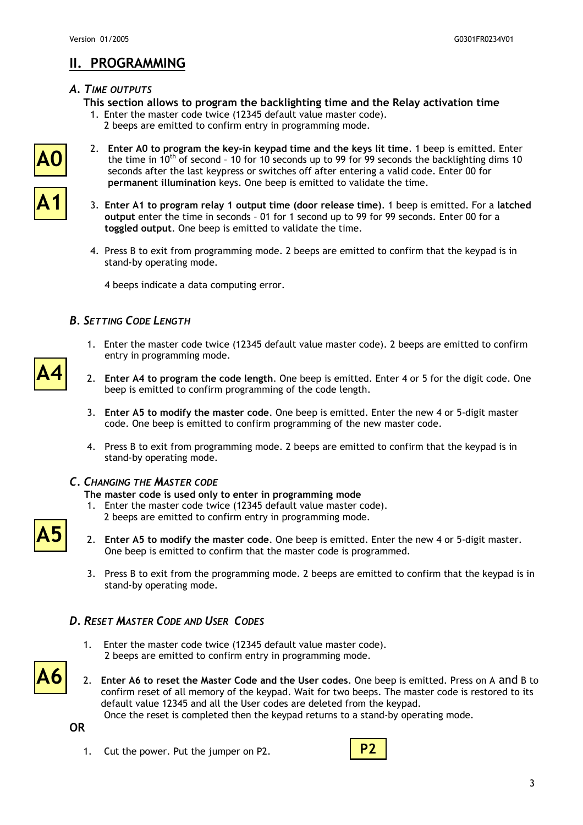## II. PROGRAMMING

## A. TIME OUTPUTS

- This section allows to program the backlighting time and the Relay activation time 1. Enter the master code twice (12345 default value master code).
	- 2 beeps are emitted to confirm entry in programming mode.



A1

- 2. Enter A0 to program the key-in keypad time and the keys lit time. 1 beep is emitted. Enter the time in 10<sup>th</sup> of second - 10 for 10 seconds up to 99 for 99 seconds the backlighting dims 10 seconds after the last keypress or switches off after entering a valid code. Enter 00 for permanent illumination keys. One beep is emitted to validate the time.
- 3. Enter A1 to program relay 1 output time (door release time). 1 beep is emitted. For a latched output enter the time in seconds – 01 for 1 second up to 99 for 99 seconds. Enter 00 for a toggled output. One beep is emitted to validate the time.
- 4. Press B to exit from programming mode. 2 beeps are emitted to confirm that the keypad is in stand-by operating mode.

4 beeps indicate a data computing error.

## B. SETTING CODE LENGTH

- 1. Enter the master code twice (12345 default value master code). 2 beeps are emitted to confirm entry in programming mode.
- 2. Enter A4 to program the code length. One beep is emitted. Enter 4 or 5 for the digit code. One beep is emitted to confirm programming of the code length.
- 3. Enter A5 to modify the master code. One beep is emitted. Enter the new 4 or 5-digit master code. One beep is emitted to confirm programming of the new master code.
- 4. Press B to exit from programming mode. 2 beeps are emitted to confirm that the keypad is in stand-by operating mode.

## C. CHANGING THE MASTER CODE

- The master code is used only to enter in programming mode
- 1. Enter the master code twice (12345 default value master code).
	- 2 beeps are emitted to confirm entry in programming mode.



A6

- 2. Enter A5 to modify the master code. One beep is emitted. Enter the new 4 or 5-digit master. One beep is emitted to confirm that the master code is programmed.
- 3. Press B to exit from the programming mode. 2 beeps are emitted to confirm that the keypad is in stand-by operating mode.

## D. RESET MASTER CODE AND USER CODES

- 1. Enter the master code twice (12345 default value master code). 2 beeps are emitted to confirm entry in programming mode.
- 2. Enter A6 to reset the Master Code and the User codes. One beep is emitted. Press on A and B to confirm reset of all memory of the keypad. Wait for two beeps. The master code is restored to its default value 12345 and all the User codes are deleted from the keypad. Once the reset is completed then the keypad returns to a stand-by operating mode.

OR

1. Cut the power. Put the jumper on P2.



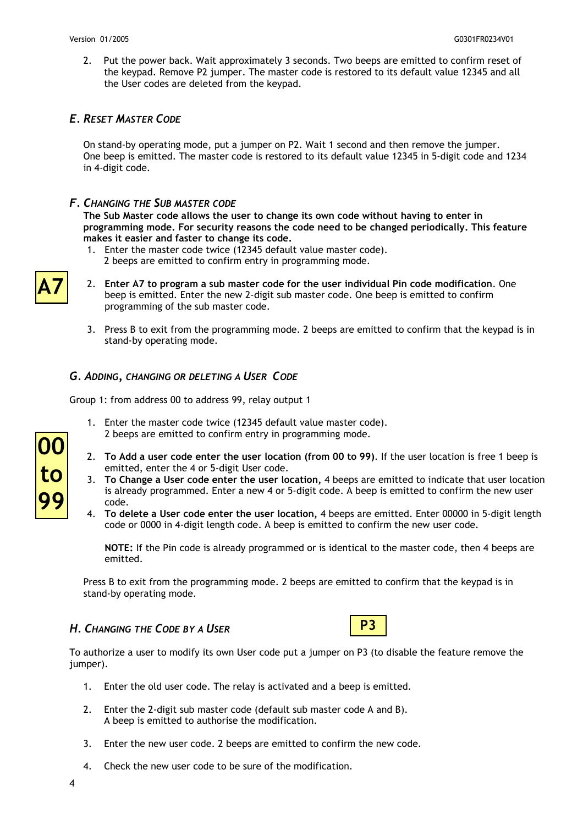2. Put the power back. Wait approximately 3 seconds. Two beeps are emitted to confirm reset of the keypad. Remove P2 jumper. The master code is restored to its default value 12345 and all the User codes are deleted from the keypad.

### E. RESET MASTER CODE

On stand-by operating mode, put a jumper on P2. Wait 1 second and then remove the jumper. One beep is emitted. The master code is restored to its default value 12345 in 5-digit code and 1234 in 4-digit code.

#### F. CHANGING THE SUB MASTER CODE

The Sub Master code allows the user to change its own code without having to enter in programming mode. For security reasons the code need to be changed periodically. This feature makes it easier and faster to change its code.

- 1. Enter the master code twice (12345 default value master code). 2 beeps are emitted to confirm entry in programming mode.
- A7

00

to

99

- 2. Enter A7 to program a sub master code for the user individual Pin code modification. One beep is emitted. Enter the new 2-digit sub master code. One beep is emitted to confirm programming of the sub master code.
- 3. Press B to exit from the programming mode. 2 beeps are emitted to confirm that the keypad is in stand-by operating mode.

### G. ADDING, CHANGING OR DELETING A USER CODE

Group 1: from address 00 to address 99, relay output 1

- 1. Enter the master code twice (12345 default value master code). 2 beeps are emitted to confirm entry in programming mode.
- 2. To Add a user code enter the user location (from 00 to 99). If the user location is free 1 beep is emitted, enter the 4 or 5-digit User code.
- 3. To Change a User code enter the user location, 4 beeps are emitted to indicate that user location is already programmed. Enter a new 4 or 5-digit code. A beep is emitted to confirm the new user code.
- 4. To delete a User code enter the user location, 4 beeps are emitted. Enter 00000 in 5-digit length code or 0000 in 4-digit length code. A beep is emitted to confirm the new user code.

NOTE: If the Pin code is already programmed or is identical to the master code, then 4 beeps are emitted.

Press B to exit from the programming mode. 2 beeps are emitted to confirm that the keypad is in stand-by operating mode.

## H. CHANGING THE CODE BY A USER



To authorize a user to modify its own User code put a jumper on P3 (to disable the feature remove the jumper).

- 1. Enter the old user code. The relay is activated and a beep is emitted.
- 2. Enter the 2-digit sub master code (default sub master code A and B). A beep is emitted to authorise the modification.
- 3. Enter the new user code. 2 beeps are emitted to confirm the new code.
- 4. Check the new user code to be sure of the modification.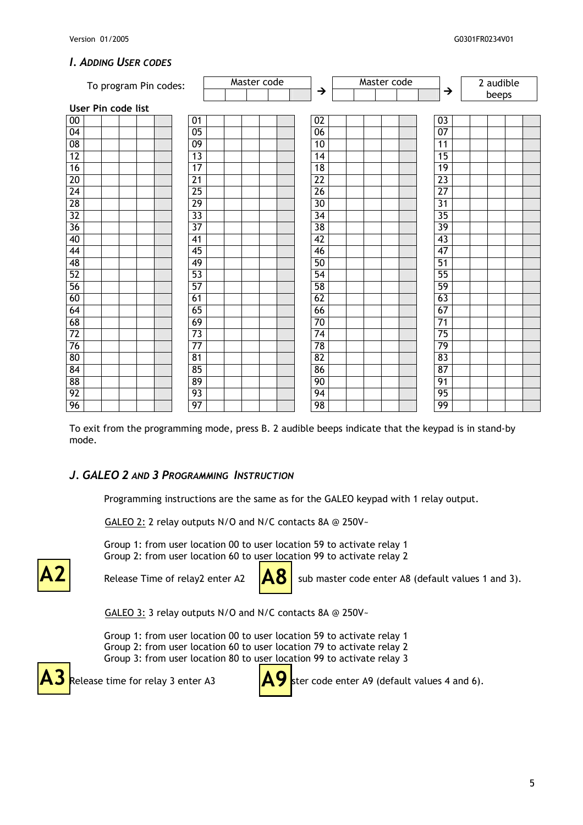#### I. ADDING USER CODES

| To program Pin codes:              | Master code | Master code     |                        | 2 audible |  |  |  |
|------------------------------------|-------------|-----------------|------------------------|-----------|--|--|--|
|                                    |             | $\rightarrow$   | $\rightarrow$<br>beeps |           |  |  |  |
| User Pin code list                 |             |                 |                        |           |  |  |  |
| $\overline{00}$<br>01              |             | 02              | $\overline{03}$        |           |  |  |  |
| $\overline{04}$<br>$\overline{05}$ |             | 06              | $\overline{07}$        |           |  |  |  |
| 08<br>09                           |             | 10              | $\overline{11}$        |           |  |  |  |
| 12<br>$\overline{13}$              |             | $\overline{14}$ | $\overline{15}$        |           |  |  |  |
| $\overline{17}$<br>16              |             | $\overline{18}$ | 19                     |           |  |  |  |
| $\overline{20}$<br>$\overline{21}$ |             | $\overline{22}$ | $\overline{23}$        |           |  |  |  |
| 24<br>$\overline{25}$              |             | $\overline{26}$ | $\overline{27}$        |           |  |  |  |
| 28<br>29                           |             | 30              | $\overline{31}$        |           |  |  |  |
| $\overline{32}$<br>$\overline{33}$ |             | $\overline{34}$ | 35                     |           |  |  |  |
| $\overline{37}$<br>$\overline{36}$ |             | $\overline{38}$ | 39                     |           |  |  |  |
| 40<br>$\overline{41}$              |             | 42              | 43                     |           |  |  |  |
| $\overline{44}$<br>$\overline{45}$ |             | 46              | 47                     |           |  |  |  |
| 48<br>49                           |             | 50              | 51                     |           |  |  |  |
| 52<br>53                           |             | 54              | 55                     |           |  |  |  |
| 57<br>56                           |             | $\overline{58}$ | 59                     |           |  |  |  |
| 60<br>61                           |             | 62              | 63                     |           |  |  |  |
| 64<br>65                           |             | 66              | 67                     |           |  |  |  |
| 68<br>69                           |             | $\overline{70}$ | $\overline{71}$        |           |  |  |  |
| $\overline{72}$<br>$\overline{73}$ |             | $\overline{74}$ | 75                     |           |  |  |  |
| 76<br>$\overline{77}$              |             | 78              | 79                     |           |  |  |  |
| 80<br>81                           |             | 82              | 83                     |           |  |  |  |
| $\overline{84}$<br>85              |             | 86              | 87                     |           |  |  |  |
| 88<br>89                           |             | 90              | 91                     |           |  |  |  |
| 92<br>93                           |             | 94              | 95                     |           |  |  |  |
| 96<br>97                           |             | 98              | 99                     |           |  |  |  |

To exit from the programming mode, press B. 2 audible beeps indicate that the keypad is in stand-by mode.

## J. GALEO 2 AND 3 PROGRAMMING INSTRUCTION

Programming instructions are the same as for the GALEO keypad with 1 relay output.

GALEO 2: 2 relay outputs N/O and N/C contacts 8A @ 250V~

Group 1: from user location 00 to user location 59 to activate relay 1 Group 2: from user location 60 to user location 99 to activate relay 2



Release Time of relay2 enter A2



sub master code enter A8 (default values 1 and 3).

GALEO 3: 3 relay outputs N/O and N/C contacts 8A @ 250V~

Group 1: from user location 00 to user location 59 to activate relay 1 Group 2: from user location 60 to user location 79 to activate relay 2 Group 3: from user location 80 to user location 99 to activate relay 3



Release time for relay 3 enter A3



ster code enter A9 (default values 4 and 6).